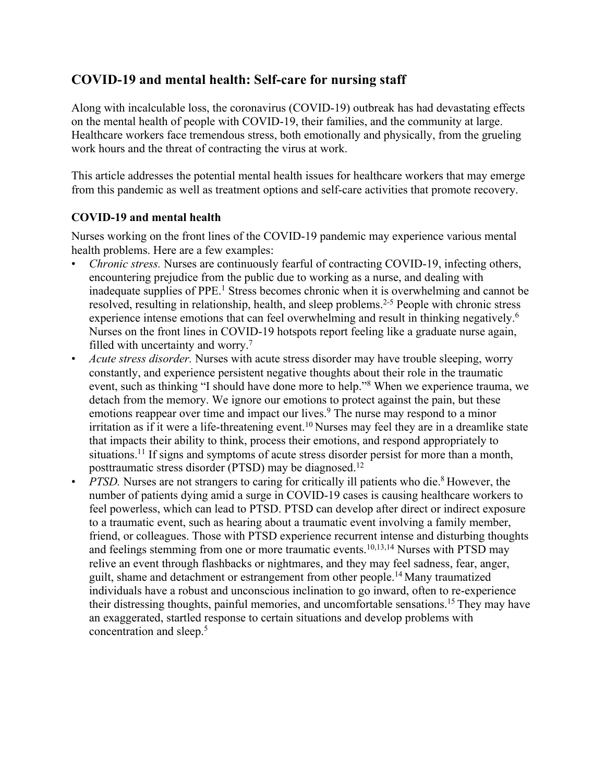# **COVID-19 and mental health: Self-care for nursing staff**

Along with incalculable loss, the coronavirus (COVID-19) outbreak has had devastating effects on the mental health of people with COVID-19, their families, and the community at large. Healthcare workers face tremendous stress, both emotionally and physically, from the grueling work hours and the threat of contracting the virus at work.

This article addresses the potential mental health issues for healthcare workers that may emerge from this pandemic as well as treatment options and self-care activities that promote recovery.

## **COVID-19 and mental health**

Nurses working on the front lines of the COVID-19 pandemic may experience various mental health problems. Here are a few examples:

- *Chronic stress.* Nurses are continuously fearful of contracting COVID-19, infecting others, encountering prejudice from the public due to working as a nurse, and dealing with inadequate supplies of PPE.<sup>1</sup> Stress becomes chronic when it is overwhelming and cannot be resolved, resulting in relationship, health, and sleep problems.<sup>2-5</sup> People with chronic stress experience intense emotions that can feel overwhelming and result in thinking negatively.<sup>6</sup> Nurses on the front lines in COVID-19 hotspots report feeling like a graduate nurse again, filled with uncertainty and worry.<sup>7</sup>
- *Acute stress disorder.* Nurses with acute stress disorder may have trouble sleeping, worry constantly, and experience persistent negative thoughts about their role in the traumatic event, such as thinking "I should have done more to help."8 When we experience trauma, we detach from the memory. We ignore our emotions to protect against the pain, but these emotions reappear over time and impact our lives.<sup>9</sup> The nurse may respond to a minor irritation as if it were a life-threatening event.<sup>10</sup> Nurses may feel they are in a dreamlike state that impacts their ability to think, process their emotions, and respond appropriately to situations.<sup>11</sup> If signs and symptoms of acute stress disorder persist for more than a month, posttraumatic stress disorder (PTSD) may be diagnosed.<sup>12</sup>
- *PTSD*. Nurses are not strangers to caring for critically ill patients who die.<sup>8</sup> However, the number of patients dying amid a surge in COVID-19 cases is causing healthcare workers to feel powerless, which can lead to PTSD. PTSD can develop after direct or indirect exposure to a traumatic event, such as hearing about a traumatic event involving a family member, friend, or colleagues. Those with PTSD experience recurrent intense and disturbing thoughts and feelings stemming from one or more traumatic events.<sup>10,13,14</sup> Nurses with PTSD may relive an event through flashbacks or nightmares, and they may feel sadness, fear, anger, guilt, shame and detachment or estrangement from other people.14 Many traumatized individuals have a robust and unconscious inclination to go inward, often to re-experience their distressing thoughts, painful memories, and uncomfortable sensations.15 They may have an exaggerated, startled response to certain situations and develop problems with concentration and sleep.5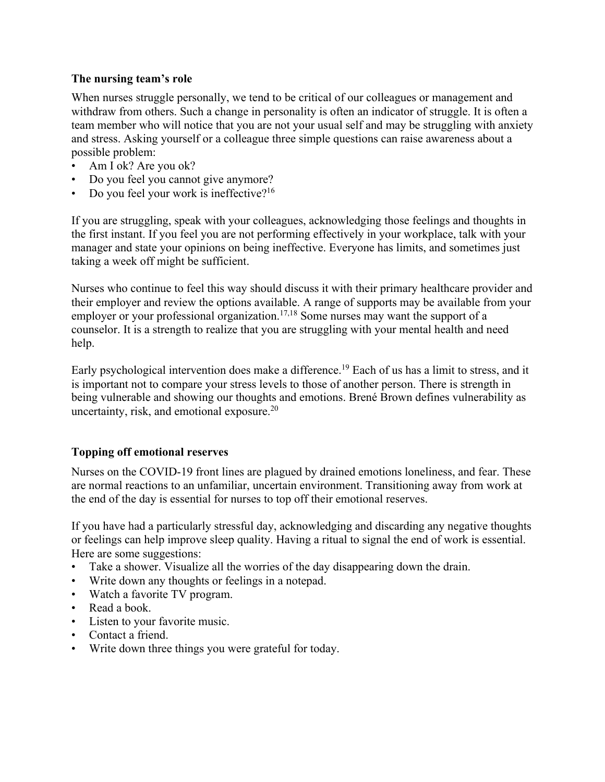#### **The nursing team's role**

When nurses struggle personally, we tend to be critical of our colleagues or management and withdraw from others. Such a change in personality is often an indicator of struggle. It is often a team member who will notice that you are not your usual self and may be struggling with anxiety and stress. Asking yourself or a colleague three simple questions can raise awareness about a possible problem:

- Am I ok? Are you ok?
- Do you feel you cannot give anymore?
- Do you feel your work is ineffective?16

If you are struggling, speak with your colleagues, acknowledging those feelings and thoughts in the first instant. If you feel you are not performing effectively in your workplace, talk with your manager and state your opinions on being ineffective. Everyone has limits, and sometimes just taking a week off might be sufficient.

Nurses who continue to feel this way should discuss it with their primary healthcare provider and their employer and review the options available. A range of supports may be available from your employer or your professional organization.<sup>17,18</sup> Some nurses may want the support of a counselor. It is a strength to realize that you are struggling with your mental health and need help.

Early psychological intervention does make a difference.<sup>19</sup> Each of us has a limit to stress, and it is important not to compare your stress levels to those of another person. There is strength in being vulnerable and showing our thoughts and emotions. Brené Brown defines vulnerability as uncertainty, risk, and emotional exposure.20

### **Topping off emotional reserves**

Nurses on the COVID-19 front lines are plagued by drained emotions loneliness, and fear. These are normal reactions to an unfamiliar, uncertain environment. Transitioning away from work at the end of the day is essential for nurses to top off their emotional reserves.

If you have had a particularly stressful day, acknowledging and discarding any negative thoughts or feelings can help improve sleep quality. Having a ritual to signal the end of work is essential. Here are some suggestions:

- Take a shower. Visualize all the worries of the day disappearing down the drain.
- Write down any thoughts or feelings in a notepad.
- Watch a favorite TV program.
- Read a book.
- Listen to your favorite music.
- Contact a friend.
- Write down three things you were grateful for today.